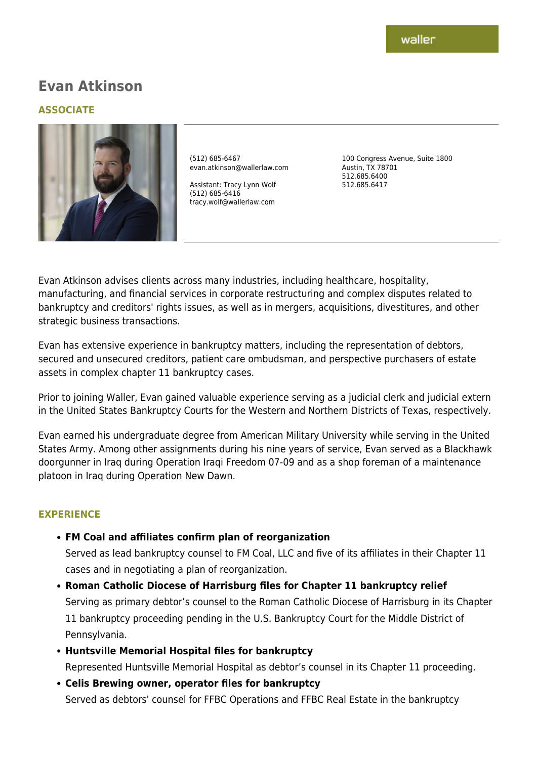# **Evan Atkinson**

### **ASSOCIATE**



(512) 685-6467 evan.atkinson@wallerlaw.com

Assistant: Tracy Lynn Wolf (512) 685-6416 tracy.wolf@wallerlaw.com

100 Congress Avenue, Suite 1800 Austin, TX 78701 512.685.6400 512.685.6417

Evan Atkinson advises clients across many industries, including healthcare, hospitality, manufacturing, and financial services in corporate restructuring and complex disputes related to bankruptcy and creditors' rights issues, as well as in mergers, acquisitions, divestitures, and other strategic business transactions.

Evan has extensive experience in bankruptcy matters, including the representation of debtors, secured and unsecured creditors, patient care ombudsman, and perspective purchasers of estate assets in complex chapter 11 bankruptcy cases.

Prior to joining Waller, Evan gained valuable experience serving as a judicial clerk and judicial extern in the United States Bankruptcy Courts for the Western and Northern Districts of Texas, respectively.

Evan earned his undergraduate degree from American Military University while serving in the United States Army. Among other assignments during his nine years of service, Evan served as a Blackhawk doorgunner in Iraq during Operation Iraqi Freedom 07-09 and as a shop foreman of a maintenance platoon in Iraq during Operation New Dawn.

#### **EXPERIENCE**

**FM Coal and affiliates confirm plan of reorganization**

Served as lead bankruptcy counsel to FM Coal, LLC and five of its affiliates in their Chapter 11 cases and in negotiating a plan of reorganization.

- **Roman Catholic Diocese of Harrisburg files for Chapter 11 bankruptcy relief** Serving as primary debtor's counsel to the Roman Catholic Diocese of Harrisburg in its Chapter 11 bankruptcy proceeding pending in the U.S. Bankruptcy Court for the Middle District of Pennsylvania.
- **Huntsville Memorial Hospital files for bankruptcy** Represented Huntsville Memorial Hospital as debtor's counsel in its Chapter 11 proceeding.
- **Celis Brewing owner, operator files for bankruptcy** Served as debtors' counsel for FFBC Operations and FFBC Real Estate in the bankruptcy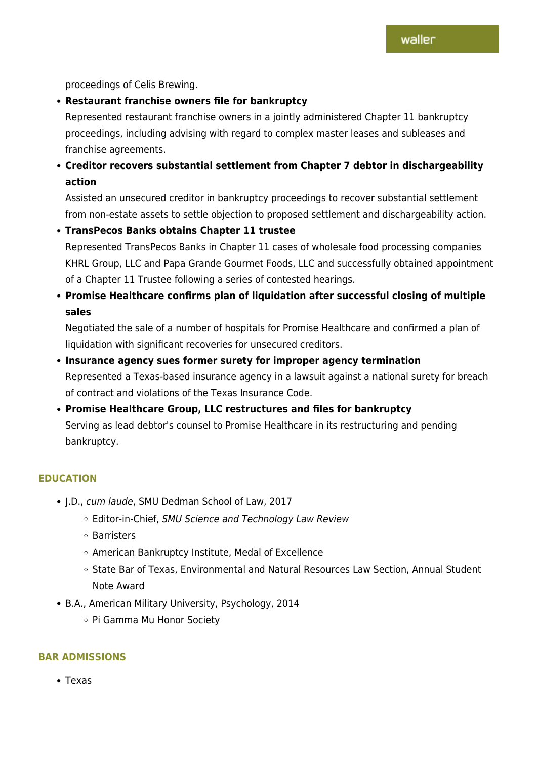proceedings of Celis Brewing.

**Restaurant franchise owners file for bankruptcy**

Represented restaurant franchise owners in a jointly administered Chapter 11 bankruptcy proceedings, including advising with regard to complex master leases and subleases and franchise agreements.

**Creditor recovers substantial settlement from Chapter 7 debtor in dischargeability action**

Assisted an unsecured creditor in bankruptcy proceedings to recover substantial settlement from non-estate assets to settle objection to proposed settlement and dischargeability action.

**TransPecos Banks obtains Chapter 11 trustee**

Represented TransPecos Banks in Chapter 11 cases of wholesale food processing companies KHRL Group, LLC and Papa Grande Gourmet Foods, LLC and successfully obtained appointment of a Chapter 11 Trustee following a series of contested hearings.

**Promise Healthcare confirms plan of liquidation after successful closing of multiple sales**

Negotiated the sale of a number of hospitals for Promise Healthcare and confirmed a plan of liquidation with significant recoveries for unsecured creditors.

- **Insurance agency sues former surety for improper agency termination** Represented a Texas-based insurance agency in a lawsuit against a national surety for breach of contract and violations of the Texas Insurance Code.
- **Promise Healthcare Group, LLC restructures and files for bankruptcy** Serving as lead debtor's counsel to Promise Healthcare in its restructuring and pending bankruptcy.

#### **EDUCATION**

- J.D., cum laude, SMU Dedman School of Law, 2017
	- Editor-in-Chief, SMU Science and Technology Law Review
	- Barristers
	- American Bankruptcy Institute, Medal of Excellence
	- State Bar of Texas, Environmental and Natural Resources Law Section, Annual Student Note Award
- B.A., American Military University, Psychology, 2014
	- Pi Gamma Mu Honor Society

#### **BAR ADMISSIONS**

Texas